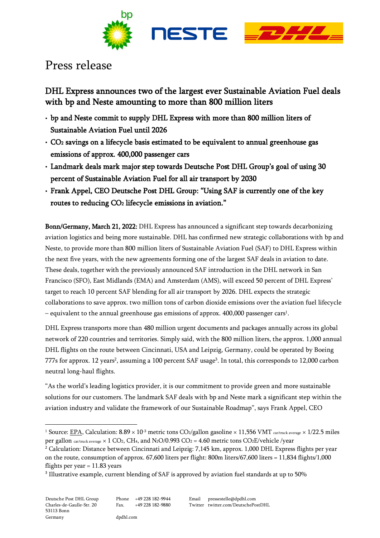

# Press release

DHL Express announces two of the largest ever Sustainable Aviation Fuel deals with bp and Neste amounting to more than 800 million liters

- bp and Neste commit to supply DHL Express with more than 800 million liters of Sustainable Aviation Fuel until 2026
- CO2 savings on a lifecycle basis estimated to be equivalent to annual greenhouse gas emissions of approx. 400,000 passenger cars
- Landmark deals mark major step towards Deutsche Post DHL Group's goal of using 30 percent of Sustainable Aviation Fuel for all air transport by 2030
- Frank Appel, CEO Deutsche Post DHL Group: "Using SAF is currently one of the key routes to reducing CO2 lifecycle emissions in aviation."

Bonn/Germany, March 21, 2022: DHL Express has announced a significant step towards decarbonizing aviation logistics and being more sustainable. DHL has confirmed new strategic collaborations with bp and Neste, to provide more than 800 million liters of Sustainable Aviation Fuel (SAF) to DHL Express within the next five years, with the new agreements forming one of the largest SAF deals in aviation to date. These deals, together with the previously announced SAF introduction in the DHL network in San Francisco (SFO), East Midlands (EMA) and Amsterdam (AMS), will exceed 50 percent of DHL Express' target to reach 10 percent SAF blending for all air transport by 2026. DHL expects the strategic collaborations to save approx. two million tons of carbon dioxide emissions over the aviation fuel lifecycle – equivalent to the annual greenhouse gas emissions of approx.  $400,000$  passenger cars $^{\rm l}$ .

DHL Express transports more than 480 million urgent documents and packages annually across its global network of 220 countries and territories. Simply said, with the 800 million liters, the approx. 1,000 annual DHL flights on the route between Cincinnati, USA and Leipzig, Germany, could be operated by Boeing 777s for approx. 12 years<sup>2</sup>, assuming a 100 percent SAF usage<sup>3</sup>. In total, this corresponds to 12,000 carbon neutral long-haul flights.

"As the world's leading logistics provider, it is our commitment to provide green and more sustainable solutions for our customers. The landmark SAF deals with bp and Neste mark a significant step within the aviation industry and validate the framework of our Sustainable Roadmap", says Frank Appel, CEO

<sup>&</sup>lt;sup>1</sup> Source: <u>EPA</u>, Calculation:  $8.89 \times 10^{-3}$  metric tons CO<sub>2</sub>/gallon gasoline  $\times$  11,556 VMT car/truck average  $\times$  1/22.5 miles per gallon car/truck average  $\times$  1 CO<sub>2</sub>, CH<sub>4</sub>, and N<sub>2</sub>O/0.993 CO<sub>2</sub> = 4.60 metric tons CO<sub>2</sub>E/vehicle/year

<sup>2</sup> Calculation: Distance between Cincinnati and Leipzig: 7,145 km, approx. 1,000 DHL Express flights per year on the route, consumption of approx. 67,600 liters per flight: 800m liters/67,600 liters = 11,834 flights/1,000 flights per year  $= 11.83$  years

<sup>&</sup>lt;sup>3</sup> Illustrative example, current blending of SAF is approved by aviation fuel standards at up to 50%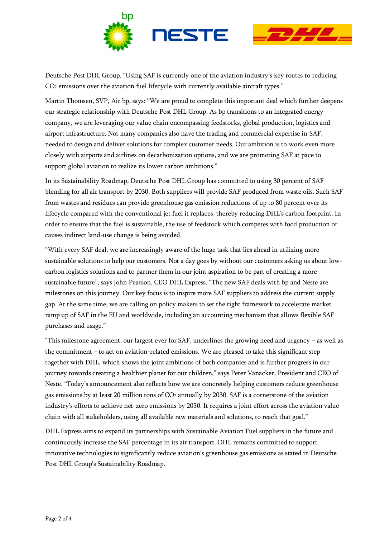

Deutsche Post DHL Group. "Using SAF is currently one of the aviation industry's key routes to reducing CO<sup>2</sup> emissions over the aviation fuel lifecycle with currently available aircraft types."

Martin Thomsen, SVP, Air bp, says: "We are proud to complete this important deal which further deepens our strategic relationship with Deutsche Post DHL Group. As bp transitions to an integrated energy company, we are leveraging our value chain encompassing feedstocks, global production, logistics and airport infrastructure. Not many companies also have the trading and commercial expertise in SAF, needed to design and deliver solutions for complex customer needs. Our ambition is to work even more closely with airports and airlines on decarbonization options, and we are promoting SAF at pace to support global aviation to realize its lower carbon ambitions."

In its Sustainability Roadmap, Deutsche Post DHL Group has committed to using 30 percent of SAF blending for all air transport by 2030. Both suppliers will provide SAF produced from waste oils. Such SAF from wastes and residues can provide greenhouse gas emission reductions of up to 80 percent over its lifecycle compared with the conventional jet fuel it replaces, thereby reducing DHL's carbon footprint. In order to ensure that the fuel is sustainable, the use of feedstock which competes with food production or causes indirect land-use change is being avoided.

"With every SAF deal, we are increasingly aware of the huge task that lies ahead in utilizing more sustainable solutions to help our customers. Not a day goes by without our customers asking us about lowcarbon logistics solutions and to partner them in our joint aspiration to be part of creating a more sustainable future", says John Pearson, CEO DHL Express. "The new SAF deals with bp and Neste are milestones on this journey. Our key focus is to inspire more SAF suppliers to address the current supply gap. At the same time, we are calling on policy makers to set the right framework to accelerate market ramp up of SAF in the EU and worldwide, including an accounting mechanism that allows flexible SAF purchases and usage."

"This milestone agreement, our largest ever for SAF, underlines the growing need and urgency – as well as the commitment – to act on aviation-related emissions. We are pleased to take this significant step together with DHL, which shows the joint ambitions of both companies and is further progress in our journey towards creating a healthier planet for our children," says Peter Vanacker, President and CEO of Neste. "Today's announcement also reflects how we are concretely helping customers reduce greenhouse gas emissions by at least 20 million tons of CO<sup>2</sup> annually by 2030. SAF is a cornerstone of the aviation industry's efforts to achieve net-zero emissions by 2050. It requires a joint effort across the aviation value chain with all stakeholders, using all available raw materials and solutions, to reach that goal."

DHL Express aims to expand its partnerships with Sustainable Aviation Fuel suppliers in the future and continuously increase the SAF percentage in its air transport. DHL remains committed to support innovative technologies to significantly reduce aviation's greenhouse gas emissions as stated in Deutsche Post DHL Group's Sustainability Roadmap.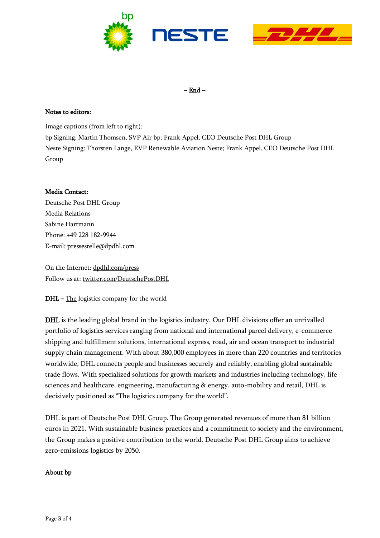



– End –

### Notes to editors:

Image captions (from left to right):

bp Signing: Martin Thomsen, SVP Air bp; Frank Appel, CEO Deutsche Post DHL Group Neste Signing: Thorsten Lange, EVP Renewable Aviation Neste; Frank Appel, CEO Deutsche Post DHL Group

#### Media Contact:

Deutsche Post DHL Group Media Relations Sabine Hartmann Phone: +49 228 182-9944 E-mail: pressestelle@dpdhl.com

On the Internet[: dpdhl.com/press](https://www.dpdhl.com/press) Follow us at: [twitter.com/DeutschePostDHL](https://www.twitter.com/DeutschePostDHL)

DHL – The logistics company for the world

DHL is the leading global brand in the logistics industry. Our DHL divisions offer an unrivalled portfolio of logistics services ranging from national and international parcel delivery, e-commerce shipping and fulfillment solutions, international express, road, air and ocean transport to industrial supply chain management. With about 380,000 employees in more than 220 countries and territories worldwide, DHL connects people and businesses securely and reliably, enabling global sustainable trade flows. With specialized solutions for growth markets and industries including technology, life sciences and healthcare, engineering, manufacturing & energy, auto-mobility and retail, DHL is decisively positioned as "The logistics company for the world".

DHL is part of Deutsche Post DHL Group. The Group generated revenues of more than 81 billion euros in 2021. With sustainable business practices and a commitment to society and the environment, the Group makes a positive contribution to the world. Deutsche Post DHL Group aims to achieve zero-emissions logistics by 2050.

## About bp